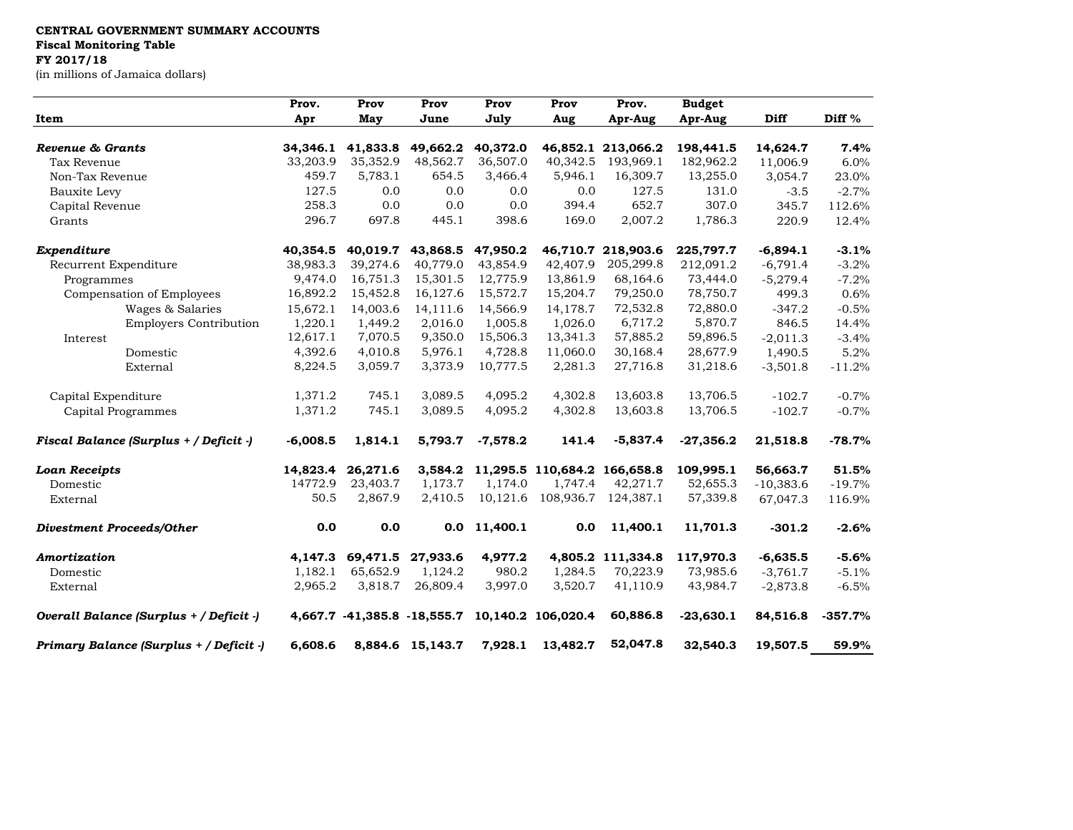## **CENTRAL GOVERNMENT SUMMARY ACCOUNTS**

**Fiscal Monitoring Table**

## **FY 2017/18**

(in millions of Jamaica dollars)

| Item                                    | Prov.<br>Apr | Prov<br>May | Prov<br>June     | Prov<br>July | Prov<br>Aug                                    | Prov.<br>Apr-Aug   | <b>Budget</b><br>Apr-Aug | <b>Diff</b> | Diff %    |
|-----------------------------------------|--------------|-------------|------------------|--------------|------------------------------------------------|--------------------|--------------------------|-------------|-----------|
|                                         |              |             |                  |              |                                                |                    |                          |             |           |
| Tax Revenue                             | 33,203.9     | 35,352.9    | 48,562.7         | 36,507.0     | 40,342.5                                       | 193,969.1          | 182,962.2                | 11,006.9    | 6.0%      |
| Non-Tax Revenue                         | 459.7        | 5,783.1     | 654.5            | 3,466.4      | 5,946.1                                        | 16,309.7           | 13,255.0                 | 3,054.7     | 23.0%     |
| Bauxite Levy                            | 127.5        | 0.0         | 0.0              | 0.0          | 0.0                                            | 127.5              | 131.0                    | $-3.5$      | $-2.7%$   |
| Capital Revenue                         | 258.3        | 0.0         | 0.0              | 0.0          | 394.4                                          | 652.7              | 307.0                    | 345.7       | 112.6%    |
| Grants                                  | 296.7        | 697.8       | 445.1            | 398.6        | 169.0                                          | 2,007.2            | 1,786.3                  | 220.9       | 12.4%     |
| Expenditure                             | 40,354.5     | 40,019.7    | 43,868.5         | 47,950.2     |                                                | 46,710.7 218,903.6 | 225,797.7                | $-6,894.1$  | $-3.1%$   |
| Recurrent Expenditure                   | 38,983.3     | 39,274.6    | 40,779.0         | 43,854.9     | 42,407.9                                       | 205,299.8          | 212,091.2                | $-6,791.4$  | $-3.2%$   |
| Programmes                              | 9,474.0      | 16,751.3    | 15,301.5         | 12,775.9     | 13,861.9                                       | 68,164.6           | 73,444.0                 | $-5,279.4$  | $-7.2%$   |
| Compensation of Employees               | 16,892.2     | 15,452.8    | 16,127.6         | 15,572.7     | 15,204.7                                       | 79,250.0           | 78,750.7                 | 499.3       | 0.6%      |
| Wages & Salaries                        | 15,672.1     | 14,003.6    | 14,111.6         | 14,566.9     | 14,178.7                                       | 72,532.8           | 72,880.0                 | $-347.2$    | $-0.5%$   |
| <b>Employers Contribution</b>           | 1,220.1      | 1,449.2     | 2,016.0          | 1,005.8      | 1,026.0                                        | 6,717.2            | 5,870.7                  | 846.5       | 14.4%     |
| Interest                                | 12,617.1     | 7,070.5     | 9,350.0          | 15,506.3     | 13,341.3                                       | 57,885.2           | 59,896.5                 | $-2,011.3$  | $-3.4%$   |
| Domestic                                | 4,392.6      | 4,010.8     | 5,976.1          | 4,728.8      | 11,060.0                                       | 30,168.4           | 28,677.9                 | 1,490.5     | 5.2%      |
| External                                | 8,224.5      | 3,059.7     | 3,373.9          | 10,777.5     | 2,281.3                                        | 27,716.8           | 31,218.6                 | $-3,501.8$  | $-11.2%$  |
| Capital Expenditure                     | 1,371.2      | 745.1       | 3,089.5          | 4,095.2      | 4,302.8                                        | 13,603.8           | 13,706.5                 | $-102.7$    | $-0.7%$   |
| Capital Programmes                      | 1,371.2      | 745.1       | 3,089.5          | 4,095.2      | 4,302.8                                        | 13,603.8           | 13,706.5                 | $-102.7$    | $-0.7%$   |
| Fiscal Balance (Surplus + / Deficit -)  | $-6,008.5$   | 1,814.1     | 5,793.7          | $-7,578.2$   | 141.4                                          | $-5,837.4$         | $-27,356.2$              | 21,518.8    | $-78.7%$  |
| <b>Loan Receipts</b>                    | 14,823.4     | 26,271.6    |                  |              | 3,584.2 11,295.5 110,684.2 166,658.8           |                    | 109,995.1                | 56,663.7    | 51.5%     |
| Domestic                                | 14772.9      | 23,403.7    | 1,173.7          | 1,174.0      | 1,747.4                                        | 42,271.7           | 52,655.3                 | $-10,383.6$ | $-19.7%$  |
| External                                | 50.5         | 2,867.9     | 2,410.5          | 10,121.6     | 108,936.7                                      | 124,387.1          | 57,339.8                 | 67,047.3    | 116.9%    |
| <b>Divestment Proceeds/Other</b>        | 0.0          | 0.0         | 0.0              | 11,400.1     | 0.0                                            | 11,400.1           | 11,701.3                 | $-301.2$    | $-2.6%$   |
| Amortization                            | 4,147.3      | 69,471.5    | 27,933.6         | 4,977.2      | 4,805.2                                        | 111,334.8          | 117,970.3                | $-6,635.5$  | $-5.6%$   |
| Domestic                                | 1,182.1      | 65,652.9    | 1,124.2          | 980.2        | 1,284.5                                        | 70,223.9           | 73,985.6                 | $-3,761.7$  | $-5.1%$   |
| External                                | 2,965.2      | 3,818.7     | 26,809.4         | 3,997.0      | 3,520.7                                        | 41,110.9           | 43,984.7                 | $-2,873.8$  | $-6.5%$   |
| Overall Balance (Surplus + / Deficit -) |              |             |                  |              | 4,667.7 -41,385.8 -18,555.7 10,140.2 106,020.4 | 60,886.8           | $-23,630.1$              | 84,516.8    | $-357.7%$ |
| Primary Balance (Surplus + / Deficit -) | 6,608.6      |             | 8,884.6 15,143.7 | 7,928.1      | 13,482.7                                       | 52,047.8           | 32,540.3                 | 19,507.5    | 59.9%     |